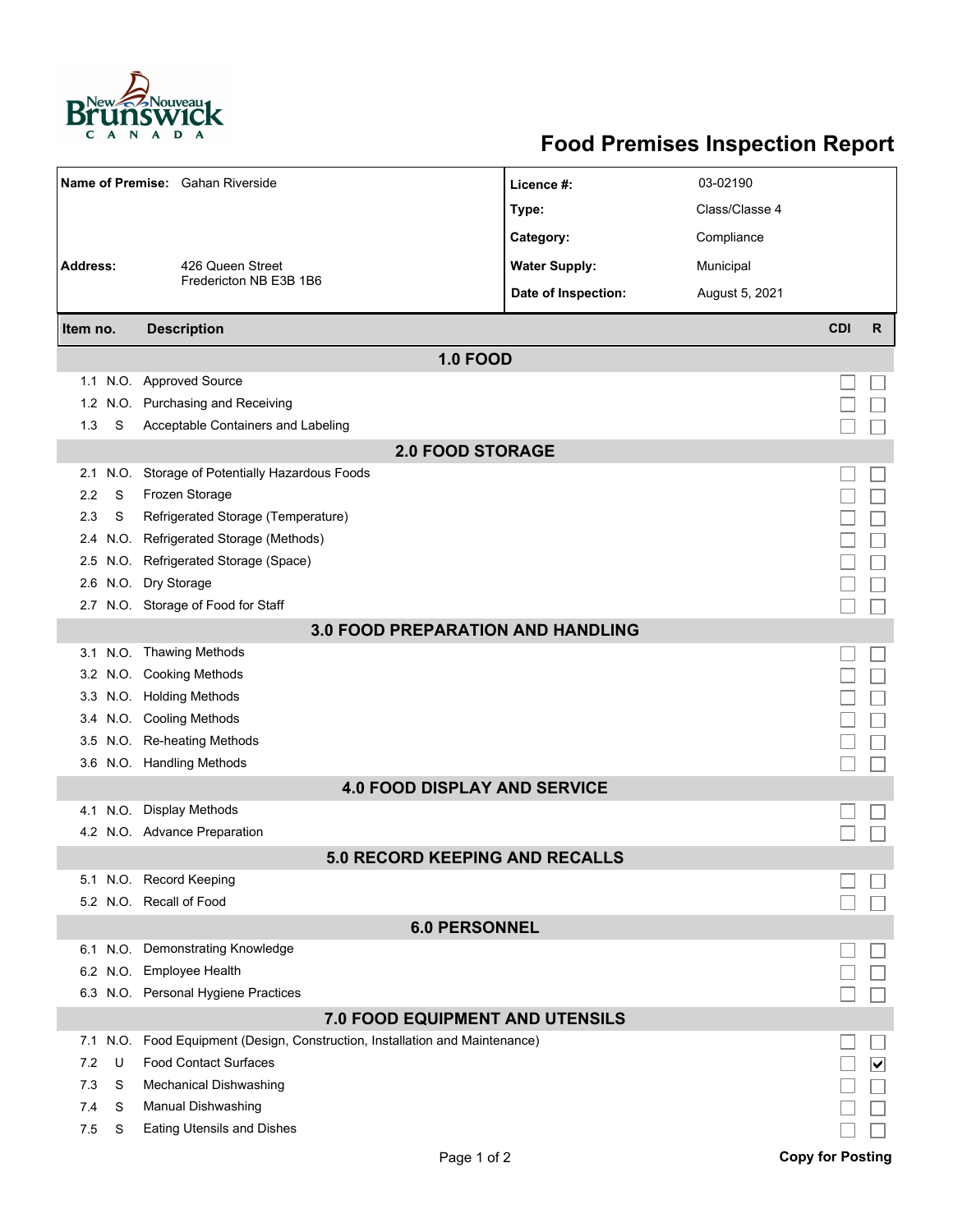

## **Food Premises Inspection Report**

|                                          |      | Name of Premise: Gahan Riverside                                    | Licence #:           | 03-02190       |                         |                              |  |  |  |  |
|------------------------------------------|------|---------------------------------------------------------------------|----------------------|----------------|-------------------------|------------------------------|--|--|--|--|
|                                          |      |                                                                     | Type:                | Class/Classe 4 |                         |                              |  |  |  |  |
|                                          |      |                                                                     | Category:            | Compliance     |                         |                              |  |  |  |  |
| <b>Address:</b>                          |      | 426 Queen Street                                                    | <b>Water Supply:</b> | Municipal      |                         |                              |  |  |  |  |
|                                          |      | Fredericton NB E3B 1B6                                              | Date of Inspection:  | August 5, 2021 |                         |                              |  |  |  |  |
| Item no.                                 |      | <b>Description</b>                                                  |                      |                | <b>CDI</b>              | R                            |  |  |  |  |
|                                          |      |                                                                     |                      |                |                         |                              |  |  |  |  |
|                                          |      | <b>1.0 FOOD</b>                                                     |                      |                |                         |                              |  |  |  |  |
|                                          |      | 1.1 N.O. Approved Source                                            |                      |                |                         |                              |  |  |  |  |
| 1.2                                      |      | N.O. Purchasing and Receiving                                       |                      |                |                         |                              |  |  |  |  |
| 1.3                                      | S    | Acceptable Containers and Labeling                                  |                      |                |                         |                              |  |  |  |  |
| <b>2.0 FOOD STORAGE</b>                  |      |                                                                     |                      |                |                         |                              |  |  |  |  |
| 2.1                                      | N.O. | Storage of Potentially Hazardous Foods                              |                      |                |                         |                              |  |  |  |  |
| 2.2                                      | S    | Frozen Storage                                                      |                      |                |                         |                              |  |  |  |  |
| 2.3                                      | S    | Refrigerated Storage (Temperature)                                  |                      |                |                         |                              |  |  |  |  |
| 2.4                                      | N.O. | Refrigerated Storage (Methods)                                      |                      |                |                         |                              |  |  |  |  |
|                                          |      | 2.5 N.O. Refrigerated Storage (Space)                               |                      |                |                         |                              |  |  |  |  |
|                                          |      | 2.6 N.O. Dry Storage                                                |                      |                |                         |                              |  |  |  |  |
|                                          |      | 2.7 N.O. Storage of Food for Staff                                  |                      |                |                         |                              |  |  |  |  |
| <b>3.0 FOOD PREPARATION AND HANDLING</b> |      |                                                                     |                      |                |                         |                              |  |  |  |  |
|                                          |      | 3.1 N.O. Thawing Methods                                            |                      |                |                         |                              |  |  |  |  |
|                                          |      | 3.2 N.O. Cooking Methods                                            |                      |                |                         |                              |  |  |  |  |
|                                          |      | 3.3 N.O. Holding Methods                                            |                      |                |                         |                              |  |  |  |  |
|                                          |      | 3.4 N.O. Cooling Methods                                            |                      |                |                         |                              |  |  |  |  |
|                                          |      | 3.5 N.O. Re-heating Methods                                         |                      |                |                         |                              |  |  |  |  |
|                                          |      | 3.6 N.O. Handling Methods                                           |                      |                |                         |                              |  |  |  |  |
| <b>4.0 FOOD DISPLAY AND SERVICE</b>      |      |                                                                     |                      |                |                         |                              |  |  |  |  |
|                                          |      | 4.1 N.O. Display Methods                                            |                      |                |                         |                              |  |  |  |  |
|                                          |      | 4.2 N.O. Advance Preparation                                        |                      |                |                         |                              |  |  |  |  |
| <b>5.0 RECORD KEEPING AND RECALLS</b>    |      |                                                                     |                      |                |                         |                              |  |  |  |  |
|                                          |      | 5.1 N.O. Record Keeping                                             |                      |                |                         |                              |  |  |  |  |
|                                          |      | 5.2 N.O. Recall of Food                                             |                      |                |                         |                              |  |  |  |  |
| <b>6.0 PERSONNEL</b>                     |      |                                                                     |                      |                |                         |                              |  |  |  |  |
|                                          |      | 6.1 N.O. Demonstrating Knowledge                                    |                      |                |                         |                              |  |  |  |  |
|                                          |      | 6.2 N.O. Employee Health                                            |                      |                |                         |                              |  |  |  |  |
|                                          |      | 6.3 N.O. Personal Hygiene Practices                                 |                      |                |                         |                              |  |  |  |  |
| <b>7.0 FOOD EQUIPMENT AND UTENSILS</b>   |      |                                                                     |                      |                |                         |                              |  |  |  |  |
| 7.1                                      | N.O. | Food Equipment (Design, Construction, Installation and Maintenance) |                      |                |                         |                              |  |  |  |  |
| 7.2                                      | U    | <b>Food Contact Surfaces</b>                                        |                      |                |                         | $\boxed{\blacktriangledown}$ |  |  |  |  |
| 7.3                                      | S    | <b>Mechanical Dishwashing</b>                                       |                      |                |                         |                              |  |  |  |  |
| 7.4                                      | S    | Manual Dishwashing                                                  |                      |                |                         |                              |  |  |  |  |
| 7.5                                      | S    | <b>Eating Utensils and Dishes</b>                                   |                      |                |                         |                              |  |  |  |  |
|                                          |      | Page 1 of 2                                                         |                      |                | <b>Copy for Posting</b> |                              |  |  |  |  |